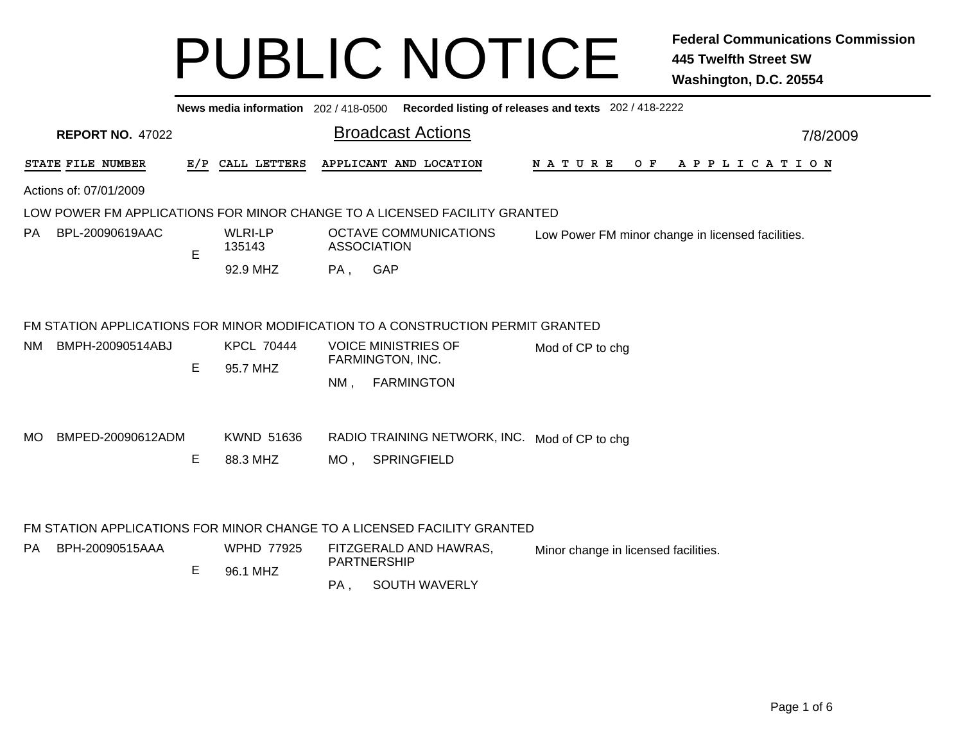|                   | Recorded listing of releases and texts 202 / 418-2222<br>News media information 202 / 418-0500 |   |                               |        |                                                                                 |                                                   |  |  |  |  |
|-------------------|------------------------------------------------------------------------------------------------|---|-------------------------------|--------|---------------------------------------------------------------------------------|---------------------------------------------------|--|--|--|--|
|                   | <b>REPORT NO. 47022</b>                                                                        |   |                               |        | <b>Broadcast Actions</b>                                                        | 7/8/2009                                          |  |  |  |  |
| STATE FILE NUMBER |                                                                                                |   | E/P CALL LETTERS              |        | APPLICANT AND LOCATION                                                          | $O$ $F$<br>A P P L I C A T I O N<br>N A T U R E   |  |  |  |  |
|                   | Actions of: 07/01/2009                                                                         |   |                               |        |                                                                                 |                                                   |  |  |  |  |
|                   |                                                                                                |   |                               |        | LOW POWER FM APPLICATIONS FOR MINOR CHANGE TO A LICENSED FACILITY GRANTED       |                                                   |  |  |  |  |
| PA.               | BPL-20090619AAC                                                                                | E | <b>WLRI-LP</b><br>135143      |        | <b>OCTAVE COMMUNICATIONS</b><br><b>ASSOCIATION</b>                              | Low Power FM minor change in licensed facilities. |  |  |  |  |
|                   |                                                                                                |   | 92.9 MHZ                      | PA,    | GAP                                                                             |                                                   |  |  |  |  |
|                   |                                                                                                |   |                               |        | FM STATION APPLICATIONS FOR MINOR MODIFICATION TO A CONSTRUCTION PERMIT GRANTED |                                                   |  |  |  |  |
| NM.               | BMPH-20090514ABJ                                                                               | E | <b>KPCL 70444</b><br>95.7 MHZ |        | <b>VOICE MINISTRIES OF</b><br>FARMINGTON, INC.                                  | Mod of CP to chg                                  |  |  |  |  |
|                   |                                                                                                |   |                               | $NM$ , | <b>FARMINGTON</b>                                                               |                                                   |  |  |  |  |
| MO.               | BMPED-20090612ADM                                                                              |   | KWND 51636                    |        | RADIO TRAINING NETWORK, INC. Mod of CP to chg                                   |                                                   |  |  |  |  |
|                   |                                                                                                | Е | 88.3 MHZ                      | MO,    | SPRINGFIELD                                                                     |                                                   |  |  |  |  |
|                   |                                                                                                |   |                               |        |                                                                                 |                                                   |  |  |  |  |
|                   |                                                                                                |   |                               |        | FM STATION APPLICATIONS FOR MINOR CHANGE TO A LICENSED FACILITY GRANTED         |                                                   |  |  |  |  |
| PA.               | BPH-20090515AAA                                                                                |   | <b>WPHD 77925</b>             |        | FITZGERALD AND HAWRAS,<br><b>PARTNERSHIP</b>                                    | Minor change in licensed facilities.              |  |  |  |  |
|                   |                                                                                                | E | 96.1 MHZ                      | PA,    | <b>SOUTH WAVERLY</b>                                                            |                                                   |  |  |  |  |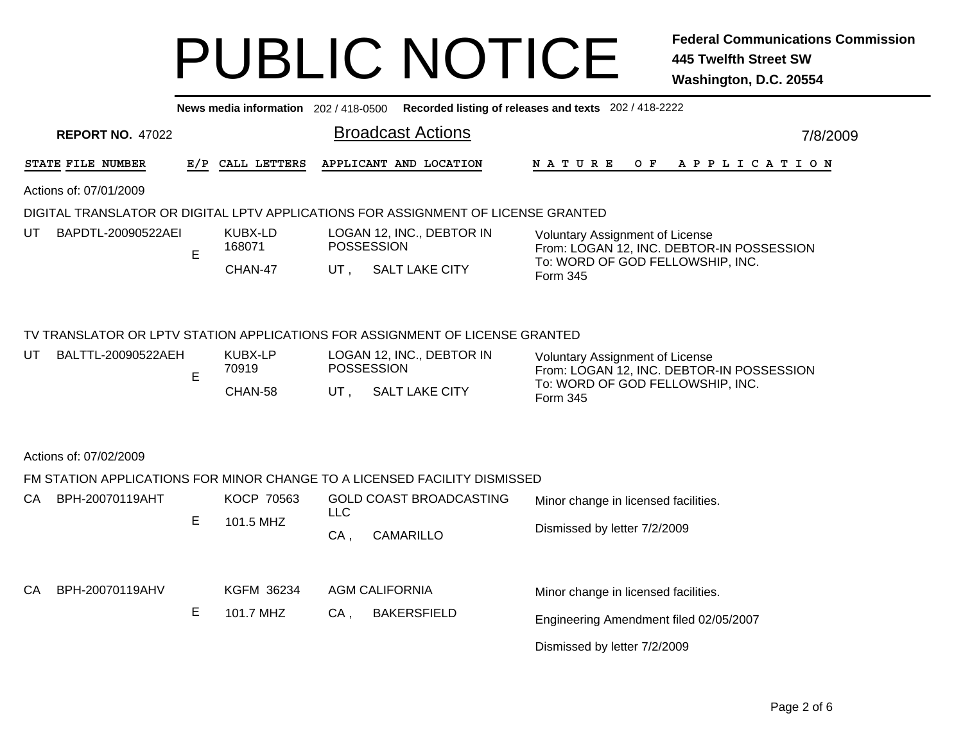|                          |   | News media information 202 / 418-0500 |                   |                                                                                   | Recorded listing of releases and texts 202 / 418-2222                               |  |  |  |  |  |  |
|--------------------------|---|---------------------------------------|-------------------|-----------------------------------------------------------------------------------|-------------------------------------------------------------------------------------|--|--|--|--|--|--|
| <b>REPORT NO. 47022</b>  |   |                                       |                   | <b>Broadcast Actions</b>                                                          | 7/8/2009                                                                            |  |  |  |  |  |  |
| STATE FILE NUMBER        |   | E/P CALL LETTERS                      |                   | APPLICANT AND LOCATION                                                            | N A T U R E<br>OF APPLICATION                                                       |  |  |  |  |  |  |
| Actions of: 07/01/2009   |   |                                       |                   |                                                                                   |                                                                                     |  |  |  |  |  |  |
|                          |   |                                       |                   | DIGITAL TRANSLATOR OR DIGITAL LPTV APPLICATIONS FOR ASSIGNMENT OF LICENSE GRANTED |                                                                                     |  |  |  |  |  |  |
| UT<br>BAPDTL-20090522AEI | E | KUBX-LD<br>168071                     | <b>POSSESSION</b> | LOGAN 12, INC., DEBTOR IN                                                         | <b>Voluntary Assignment of License</b><br>From: LOGAN 12, INC. DEBTOR-IN POSSESSION |  |  |  |  |  |  |
|                          |   | CHAN-47                               | UT,               | <b>SALT LAKE CITY</b>                                                             | To: WORD OF GOD FELLOWSHIP, INC.<br>Form 345                                        |  |  |  |  |  |  |
|                          |   |                                       |                   |                                                                                   |                                                                                     |  |  |  |  |  |  |
|                          |   |                                       |                   | TV TRANSLATOR OR LPTV STATION APPLICATIONS FOR ASSIGNMENT OF LICENSE GRANTED      |                                                                                     |  |  |  |  |  |  |
| UT<br>BALTTL-20090522AEH | E | <b>KUBX-LP</b><br>70919               | POSSESSION        | LOGAN 12, INC., DEBTOR IN                                                         | <b>Voluntary Assignment of License</b><br>From: LOGAN 12, INC. DEBTOR-IN POSSESSION |  |  |  |  |  |  |
|                          |   | CHAN-58                               | UT ,              | <b>SALT LAKE CITY</b>                                                             | To: WORD OF GOD FELLOWSHIP, INC.<br>Form 345                                        |  |  |  |  |  |  |
|                          |   |                                       |                   |                                                                                   |                                                                                     |  |  |  |  |  |  |
| Actions of: 07/02/2009   |   |                                       |                   |                                                                                   |                                                                                     |  |  |  |  |  |  |
|                          |   |                                       |                   | FM STATION APPLICATIONS FOR MINOR CHANGE TO A LICENSED FACILITY DISMISSED         |                                                                                     |  |  |  |  |  |  |
| СA<br>BPH-20070119AHT    |   | KOCP 70563                            | <b>LLC</b>        | <b>GOLD COAST BROADCASTING</b>                                                    | Minor change in licensed facilities.                                                |  |  |  |  |  |  |
|                          | Е | 101.5 MHZ                             | $CA$ ,            | CAMARILLO                                                                         | Dismissed by letter 7/2/2009                                                        |  |  |  |  |  |  |
| СA<br>BPH-20070119AHV    |   | KGFM 36234                            |                   | <b>AGM CALIFORNIA</b>                                                             | Minor change in licensed facilities.                                                |  |  |  |  |  |  |
|                          | E | 101.7 MHZ                             | CA,               | <b>BAKERSFIELD</b>                                                                |                                                                                     |  |  |  |  |  |  |
|                          |   |                                       |                   |                                                                                   | Engineering Amendment filed 02/05/2007                                              |  |  |  |  |  |  |
|                          |   |                                       |                   |                                                                                   | Dismissed by letter 7/2/2009                                                        |  |  |  |  |  |  |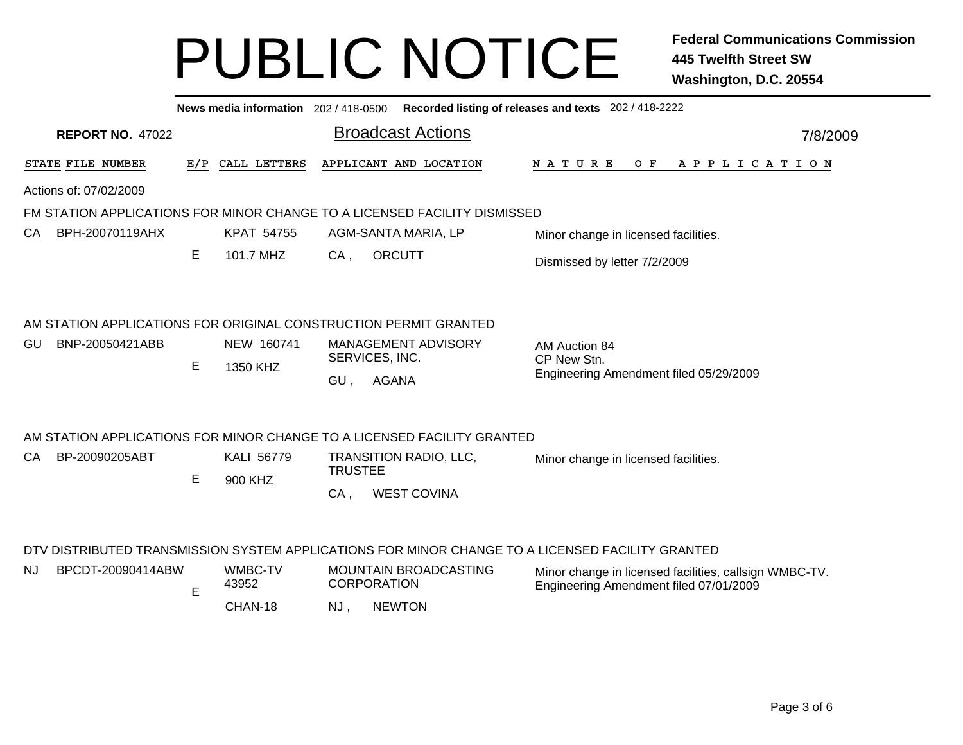|                                                                                                                                                        | Recorded listing of releases and texts 202 / 418-2222<br>News media information 202 / 418-0500 |                  |                    |                              |                                                       |  |                                                                                                  |  |  |     |  |  |  |             |  |          |  |
|--------------------------------------------------------------------------------------------------------------------------------------------------------|------------------------------------------------------------------------------------------------|------------------|--------------------|------------------------------|-------------------------------------------------------|--|--------------------------------------------------------------------------------------------------|--|--|-----|--|--|--|-------------|--|----------|--|
| <b>REPORT NO. 47022</b>                                                                                                                                |                                                                                                |                  |                    | <b>Broadcast Actions</b>     |                                                       |  |                                                                                                  |  |  |     |  |  |  |             |  | 7/8/2009 |  |
| STATE FILE NUMBER                                                                                                                                      | E/P                                                                                            | CALL LETTERS     |                    | APPLICANT AND LOCATION       |                                                       |  | <b>NATURE</b>                                                                                    |  |  | O F |  |  |  | APPLICATION |  |          |  |
| Actions of: 07/02/2009                                                                                                                                 |                                                                                                |                  |                    |                              |                                                       |  |                                                                                                  |  |  |     |  |  |  |             |  |          |  |
| FM STATION APPLICATIONS FOR MINOR CHANGE TO A LICENSED FACILITY DISMISSED                                                                              |                                                                                                |                  |                    |                              |                                                       |  |                                                                                                  |  |  |     |  |  |  |             |  |          |  |
| BPH-20070119AHX<br>CA.                                                                                                                                 |                                                                                                | KPAT 54755       |                    | AGM-SANTA MARIA, LP          |                                                       |  | Minor change in licensed facilities.                                                             |  |  |     |  |  |  |             |  |          |  |
|                                                                                                                                                        | Е                                                                                              | 101.7 MHZ        | $CA$ ,             | <b>ORCUTT</b>                |                                                       |  | Dismissed by letter 7/2/2009                                                                     |  |  |     |  |  |  |             |  |          |  |
| AM STATION APPLICATIONS FOR ORIGINAL CONSTRUCTION PERMIT GRANTED<br>GU<br>BNP-20050421ABB<br>NEW 160741<br><b>MANAGEMENT ADVISORY</b><br>AM Auction 84 |                                                                                                |                  |                    |                              |                                                       |  |                                                                                                  |  |  |     |  |  |  |             |  |          |  |
|                                                                                                                                                        | E                                                                                              | 1350 KHZ         | SERVICES, INC.     |                              | CP New Stn.<br>Engineering Amendment filed 05/29/2009 |  |                                                                                                  |  |  |     |  |  |  |             |  |          |  |
|                                                                                                                                                        |                                                                                                |                  | GU,                | AGANA                        |                                                       |  |                                                                                                  |  |  |     |  |  |  |             |  |          |  |
| AM STATION APPLICATIONS FOR MINOR CHANGE TO A LICENSED FACILITY GRANTED                                                                                |                                                                                                |                  |                    |                              |                                                       |  |                                                                                                  |  |  |     |  |  |  |             |  |          |  |
| CA<br>BP-20090205ABT                                                                                                                                   |                                                                                                | KALI 56779       |                    | TRANSITION RADIO, LLC,       |                                                       |  | Minor change in licensed facilities.                                                             |  |  |     |  |  |  |             |  |          |  |
|                                                                                                                                                        | Е                                                                                              | 900 KHZ          | <b>TRUSTEE</b>     |                              |                                                       |  |                                                                                                  |  |  |     |  |  |  |             |  |          |  |
|                                                                                                                                                        |                                                                                                |                  | $CA$ ,             | <b>WEST COVINA</b>           |                                                       |  |                                                                                                  |  |  |     |  |  |  |             |  |          |  |
| DTV DISTRIBUTED TRANSMISSION SYSTEM APPLICATIONS FOR MINOR CHANGE TO A LICENSED FACILITY GRANTED                                                       |                                                                                                |                  |                    |                              |                                                       |  |                                                                                                  |  |  |     |  |  |  |             |  |          |  |
| BPCDT-20090414ABW<br>NJ.                                                                                                                               | E                                                                                              | WMBC-TV<br>43952 | <b>CORPORATION</b> | <b>MOUNTAIN BROADCASTING</b> |                                                       |  | Minor change in licensed facilities, callsign WMBC-TV.<br>Engineering Amendment filed 07/01/2009 |  |  |     |  |  |  |             |  |          |  |
|                                                                                                                                                        |                                                                                                | CHAN-18          | NJ.                | <b>NEWTON</b>                |                                                       |  |                                                                                                  |  |  |     |  |  |  |             |  |          |  |

NJ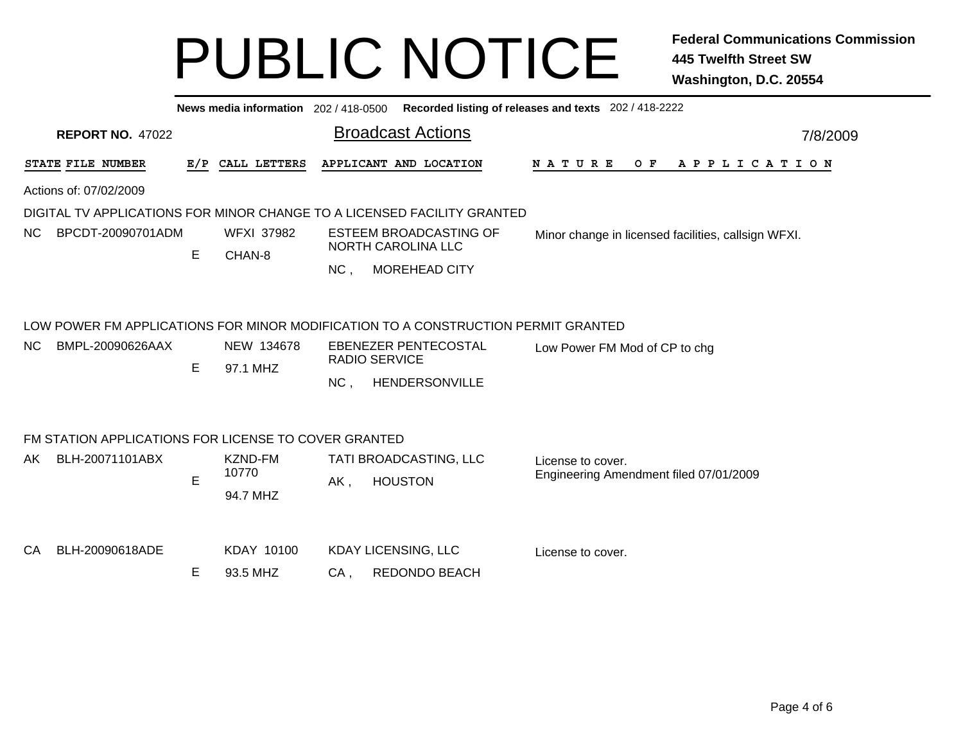| News media information 202 / 418-0500<br>Recorded listing of releases and texts 202 / 418-2222                                                                                                                                                 |   |                             |                            |                        |                                                     |  |  |  |  |  |  |
|------------------------------------------------------------------------------------------------------------------------------------------------------------------------------------------------------------------------------------------------|---|-----------------------------|----------------------------|------------------------|-----------------------------------------------------|--|--|--|--|--|--|
| <b>Broadcast Actions</b><br><b>REPORT NO. 47022</b><br>7/8/2009                                                                                                                                                                                |   |                             |                            |                        |                                                     |  |  |  |  |  |  |
| STATE FILE NUMBER                                                                                                                                                                                                                              |   | E/P CALL LETTERS            |                            | APPLICANT AND LOCATION | N A T U R E<br>$O$ $F$<br>A P P L I C A T I O N     |  |  |  |  |  |  |
| Actions of: 07/02/2009                                                                                                                                                                                                                         |   |                             |                            |                        |                                                     |  |  |  |  |  |  |
| DIGITAL TV APPLICATIONS FOR MINOR CHANGE TO A LICENSED FACILITY GRANTED                                                                                                                                                                        |   |                             |                            |                        |                                                     |  |  |  |  |  |  |
| NC.<br>BPCDT-20090701ADM                                                                                                                                                                                                                       | E | <b>WFXI 37982</b><br>CHAN-8 | NORTH CAROLINA LLC         | ESTEEM BROADCASTING OF | Minor change in licensed facilities, callsign WFXI. |  |  |  |  |  |  |
|                                                                                                                                                                                                                                                |   |                             | NC,                        | <b>MOREHEAD CITY</b>   |                                                     |  |  |  |  |  |  |
| LOW POWER FM APPLICATIONS FOR MINOR MODIFICATION TO A CONSTRUCTION PERMIT GRANTED<br>NEW 134678<br>BMPL-20090626AAX<br>EBENEZER PENTECOSTAL<br>NC.<br>Low Power FM Mod of CP to chg<br>RADIO SERVICE<br>E<br>97.1 MHZ<br>NC,<br>HENDERSONVILLE |   |                             |                            |                        |                                                     |  |  |  |  |  |  |
| FM STATION APPLICATIONS FOR LICENSE TO COVER GRANTED                                                                                                                                                                                           |   |                             |                            |                        |                                                     |  |  |  |  |  |  |
| BLH-20071101ABX<br>AK.                                                                                                                                                                                                                         |   | <b>KZND-FM</b>              |                            | TATI BROADCASTING, LLC | License to cover.                                   |  |  |  |  |  |  |
|                                                                                                                                                                                                                                                | E | 10770<br>94.7 MHZ           | AK,                        | <b>HOUSTON</b>         | Engineering Amendment filed 07/01/2009              |  |  |  |  |  |  |
| BLH-20090618ADE<br>CA                                                                                                                                                                                                                          |   | KDAY 10100                  | <b>KDAY LICENSING, LLC</b> |                        | License to cover.                                   |  |  |  |  |  |  |
|                                                                                                                                                                                                                                                | E | 93.5 MHZ                    | CA,                        | REDONDO BEACH          |                                                     |  |  |  |  |  |  |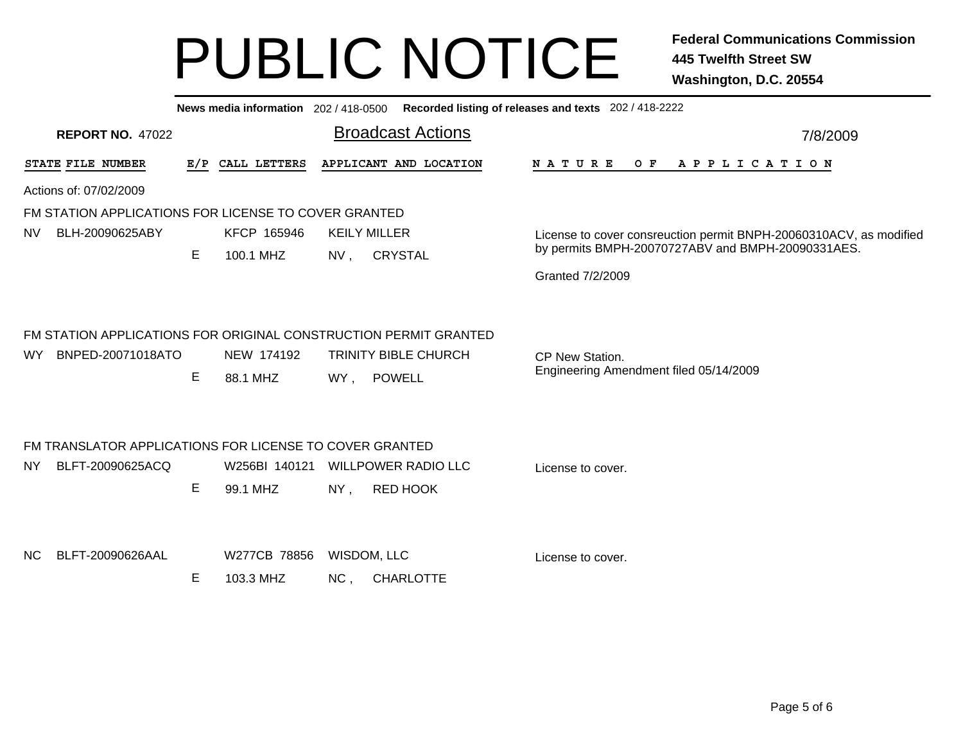|                                                                                               |   |                           |                               |                                               | News media information 202 / 418-0500 Recorded listing of releases and texts 202 / 418-2222                                                 |  |
|-----------------------------------------------------------------------------------------------|---|---------------------------|-------------------------------|-----------------------------------------------|---------------------------------------------------------------------------------------------------------------------------------------------|--|
| <b>REPORT NO. 47022</b>                                                                       |   |                           |                               | <b>Broadcast Actions</b>                      | 7/8/2009                                                                                                                                    |  |
| STATE FILE NUMBER                                                                             |   | E/P CALL LETTERS          |                               | APPLICANT AND LOCATION                        | APPLICATION<br><b>NATURE</b><br>O F                                                                                                         |  |
| Actions of: 07/02/2009                                                                        |   |                           |                               |                                               |                                                                                                                                             |  |
| FM STATION APPLICATIONS FOR LICENSE TO COVER GRANTED<br>NV<br>BLH-20090625ABY                 | Е | KFCP 165946<br>100.1 MHZ  | <b>KEILY MILLER</b><br>$NV$ , | <b>CRYSTAL</b>                                | License to cover consreuction permit BNPH-20060310ACV, as modified<br>by permits BMPH-20070727ABV and BMPH-20090331AES.<br>Granted 7/2/2009 |  |
| FM STATION APPLICATIONS FOR ORIGINAL CONSTRUCTION PERMIT GRANTED<br>BNPED-20071018ATO<br>WY l | Е | NEW 174192<br>88.1 MHZ    | WY, POWELL                    | <b>TRINITY BIBLE CHURCH</b>                   | CP New Station.<br>Engineering Amendment filed 05/14/2009                                                                                   |  |
| FM TRANSLATOR APPLICATIONS FOR LICENSE TO COVER GRANTED<br>BLFT-20090625ACQ<br>NY             | Е | W256BI 140121<br>99.1 MHZ | NY,                           | <b>WILLPOWER RADIO LLC</b><br><b>RED HOOK</b> | License to cover.                                                                                                                           |  |
| ΝC<br>BLFT-20090626AAL                                                                        | Е | W277CB 78856<br>103.3 MHZ | WISDOM, LLC<br>NC,            | <b>CHARLOTTE</b>                              | License to cover.                                                                                                                           |  |